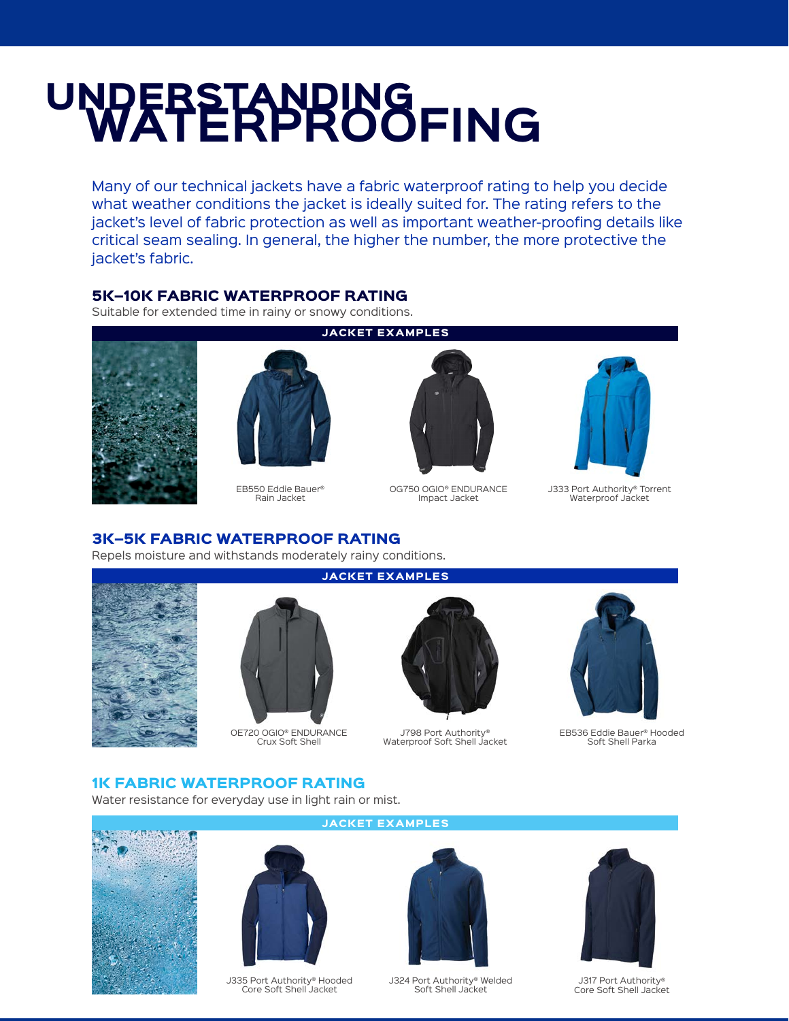## UNDERSTANDING **WATERPROOFING**

Many of our technical jackets have a fabric waterproof rating to help you decide what weather conditions the jacket is ideally suited for. The rating refers to the jacket's level of fabric protection as well as important weather-proofing details like critical seam sealing. In general, the higher the number, the more protective the jacket's fabric.

JACKET EXAMPLES

JACKET EXAMPLES

JACKET EXAMPLES

### 5K–10K FABRIC WATERPROOF RATING

Suitable for extended time in rainy or snowy conditions.





EB550 Eddie Bauer® Rain Jacket



OG750 OGIO® ENDURANCE Impact Jacket



J333 Port Authority® Torrent Waterproof Jacket

### 3K–5K FABRIC WATERPROOF RATING

Repels moisture and withstands moderately rainy conditions.





OE720 OGIO® ENDURANCE Crux Soft Shell



J798 Port Authority® Waterproof Soft Shell Jacket



EB536 Eddie Bauer® Hooded Soft Shell Parka

### 1K FABRIC WATERPROOF RATING

Water resistance for everyday use in light rain or mist.





J335 Port Authority® Hooded Core Soft Shell Jacket



J324 Port Authority® Welded Soft Shell Jacket



J317 Port Authority Core Soft Shell Jacket